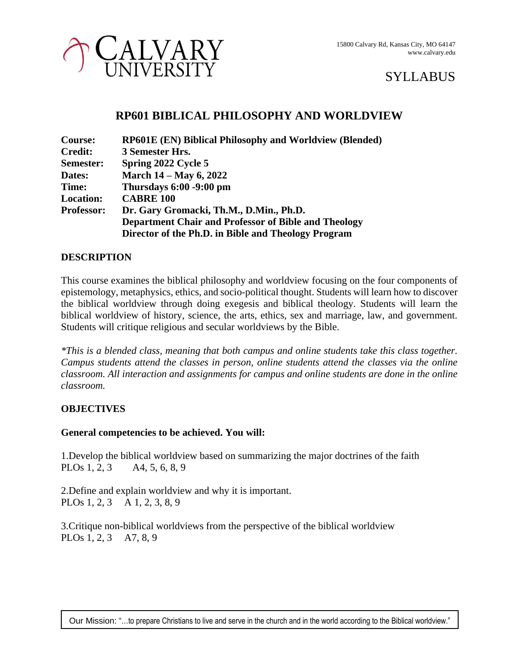

# CALVARY

## **RP601 BIBLICAL PHILOSOPHY AND WORLDVIEW**

| Course:           | <b>RP601E (EN) Biblical Philosophy and Worldview (Blended)</b> |
|-------------------|----------------------------------------------------------------|
| <b>Credit:</b>    | 3 Semester Hrs.                                                |
| Semester:         | Spring 2022 Cycle 5                                            |
| Dates:            | <b>March 14 – May 6, 2022</b>                                  |
| Time:             | Thursdays 6:00 -9:00 pm                                        |
| <b>Location:</b>  | <b>CABRE 100</b>                                               |
| <b>Professor:</b> | Dr. Gary Gromacki, Th.M., D.Min., Ph.D.                        |
|                   | <b>Department Chair and Professor of Bible and Theology</b>    |
|                   | Director of the Ph.D. in Bible and Theology Program            |

## **DESCRIPTION**

This course examines the biblical philosophy and worldview focusing on the four components of epistemology, metaphysics, ethics, and socio-political thought. Students will learn how to discover the biblical worldview through doing exegesis and biblical theology. Students will learn the biblical worldview of history, science, the arts, ethics, sex and marriage, law, and government. Students will critique religious and secular worldviews by the Bible.

*\*This is a blended class, meaning that both campus and online students take this class together. Campus students attend the classes in person, online students attend the classes via the online classroom. All interaction and assignments for campus and online students are done in the online classroom.*

## **OBJECTIVES**

## **General competencies to be achieved. You will:**

1.Develop the biblical worldview based on summarizing the major doctrines of the faith PLOs 1, 2, 3 A4, 5, 6, 8, 9

2.Define and explain worldview and why it is important. PLOs 1, 2, 3 A 1, 2, 3, 8, 9

3.Critique non-biblical worldviews from the perspective of the biblical worldview PLOs 1, 2, 3 A7, 8, 9

Our Mission: "…to prepare Christians to live and serve in the church and in the world according to the Biblical worldview."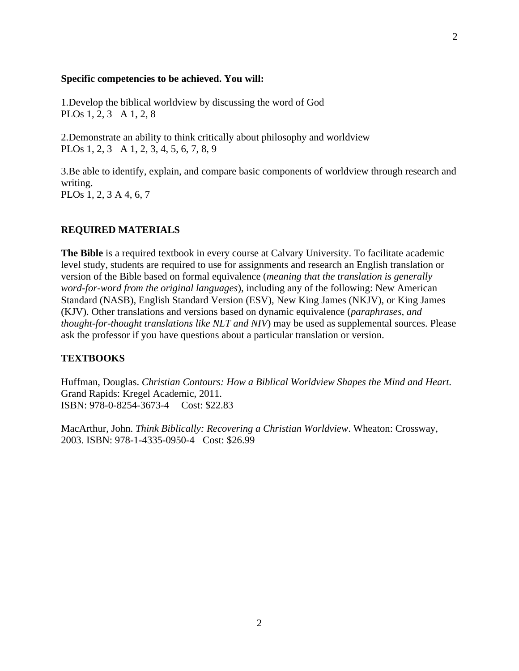#### **Specific competencies to be achieved. You will:**

1.Develop the biblical worldview by discussing the word of God PLOs 1, 2, 3 A 1, 2, 8

2.Demonstrate an ability to think critically about philosophy and worldview PLOs 1, 2, 3 A 1, 2, 3, 4, 5, 6, 7, 8, 9

3.Be able to identify, explain, and compare basic components of worldview through research and writing. PLOs 1, 2, 3 A 4, 6, 7

#### **REQUIRED MATERIALS**

**The Bible** is a required textbook in every course at Calvary University. To facilitate academic level study, students are required to use for assignments and research an English translation or version of the Bible based on formal equivalence (*meaning that the translation is generally word-for-word from the original languages*), including any of the following: New American Standard (NASB), English Standard Version (ESV), New King James (NKJV), or King James (KJV). Other translations and versions based on dynamic equivalence (*paraphrases, and thought-for-thought translations like NLT and NIV*) may be used as supplemental sources. Please ask the professor if you have questions about a particular translation or version.

#### **TEXTBOOKS**

Huffman, Douglas. *Christian Contours: How a Biblical Worldview Shapes the Mind and Heart.* Grand Rapids: Kregel Academic, 2011. ISBN: 978-0-8254-3673-4 Cost: \$22.83

MacArthur, John. *Think Biblically: Recovering a Christian Worldview*. Wheaton: Crossway, 2003. ISBN: 978-1-4335-0950-4 Cost: \$26.99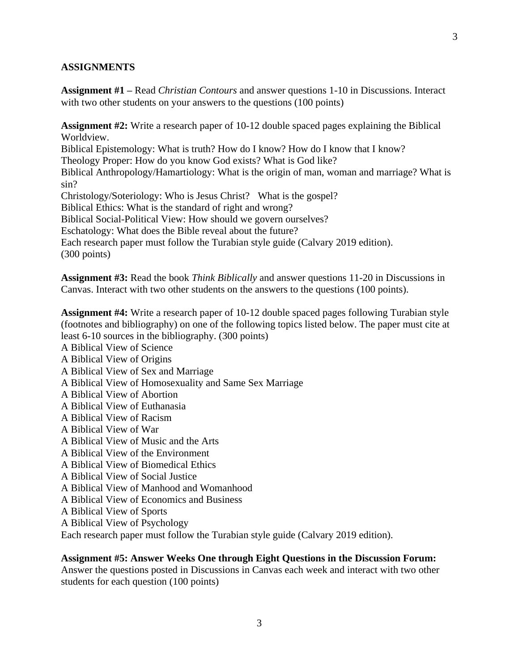#### **ASSIGNMENTS**

**Assignment #1 –** Read *Christian Contours* and answer questions 1-10 in Discussions. Interact with two other students on your answers to the questions (100 points)

**Assignment #2:** Write a research paper of 10-12 double spaced pages explaining the Biblical Worldview.

Biblical Epistemology: What is truth? How do I know? How do I know that I know? Theology Proper: How do you know God exists? What is God like?

Biblical Anthropology/Hamartiology: What is the origin of man, woman and marriage? What is sin?

Christology/Soteriology: Who is Jesus Christ? What is the gospel?

Biblical Ethics: What is the standard of right and wrong?

Biblical Social-Political View: How should we govern ourselves?

Eschatology: What does the Bible reveal about the future?

Each research paper must follow the Turabian style guide (Calvary 2019 edition). (300 points)

**Assignment #3:** Read the book *Think Biblically* and answer questions 11-20 in Discussions in Canvas. Interact with two other students on the answers to the questions (100 points).

**Assignment #4:** Write a research paper of 10-12 double spaced pages following Turabian style (footnotes and bibliography) on one of the following topics listed below. The paper must cite at least 6-10 sources in the bibliography. (300 points)

A Biblical View of Science

- A Biblical View of Origins
- A Biblical View of Sex and Marriage
- A Biblical View of Homosexuality and Same Sex Marriage
- A Biblical View of Abortion
- A Biblical View of Euthanasia
- A Biblical View of Racism
- A Biblical View of War
- A Biblical View of Music and the Arts
- A Biblical View of the Environment
- A Biblical View of Biomedical Ethics
- A Biblical View of Social Justice
- A Biblical View of Manhood and Womanhood
- A Biblical View of Economics and Business
- A Biblical View of Sports
- A Biblical View of Psychology

Each research paper must follow the Turabian style guide (Calvary 2019 edition).

#### **Assignment #5: Answer Weeks One through Eight Questions in the Discussion Forum:**

Answer the questions posted in Discussions in Canvas each week and interact with two other students for each question (100 points)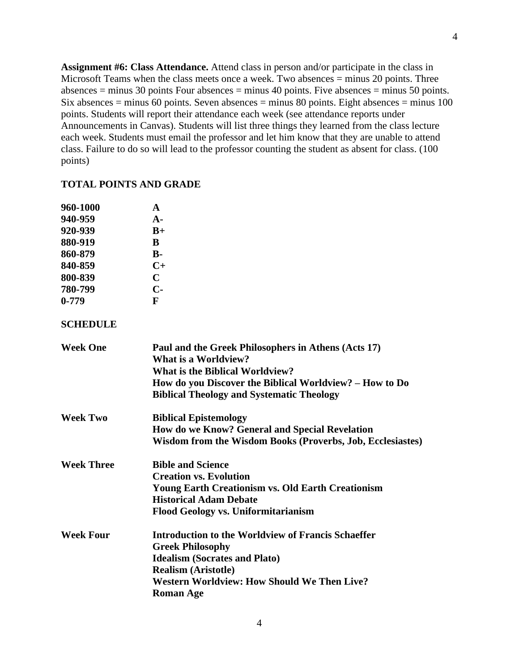**Assignment #6: Class Attendance.** Attend class in person and/or participate in the class in Microsoft Teams when the class meets once a week. Two absences  $=$  minus 20 points. Three absences  $=$  minus 30 points Four absences  $=$  minus 40 points. Five absences  $=$  minus 50 points. Six absences = minus 60 points. Seven absences = minus 80 points. Eight absences = minus 100 points. Students will report their attendance each week (see attendance reports under Announcements in Canvas). Students will list three things they learned from the class lecture each week. Students must email the professor and let him know that they are unable to attend class. Failure to do so will lead to the professor counting the student as absent for class. (100 points)

#### **TOTAL POINTS AND GRADE**

| 960-1000  | A              |
|-----------|----------------|
| 940-959   | $\mathbf{A}$ - |
| 920-939   | $B+$           |
| 880-919   | B              |
| 860-879   | $\bf{B}$ -     |
| 840-859   | $C+$           |
| 800-839   | C              |
| 780-799   | С-             |
| $0 - 779$ | F              |
|           |                |

#### **SCHEDULE**

| <b>Week One</b>   | Paul and the Greek Philosophers in Athens (Acts 17)<br><b>What is a Worldview?</b> |
|-------------------|------------------------------------------------------------------------------------|
|                   | <b>What is the Biblical Worldview?</b>                                             |
|                   | How do you Discover the Biblical Worldview? – How to Do                            |
|                   | <b>Biblical Theology and Systematic Theology</b>                                   |
| <b>Week Two</b>   | <b>Biblical Epistemology</b>                                                       |
|                   | How do we Know? General and Special Revelation                                     |
|                   | Wisdom from the Wisdom Books (Proverbs, Job, Ecclesiastes)                         |
| <b>Week Three</b> | <b>Bible and Science</b>                                                           |
|                   | <b>Creation vs. Evolution</b>                                                      |
|                   | <b>Young Earth Creationism vs. Old Earth Creationism</b>                           |
|                   | <b>Historical Adam Debate</b>                                                      |
|                   | <b>Flood Geology vs. Uniformitarianism</b>                                         |
| <b>Week Four</b>  | <b>Introduction to the Worldview of Francis Schaeffer</b>                          |
|                   | <b>Greek Philosophy</b>                                                            |
|                   | <b>Idealism (Socrates and Plato)</b>                                               |
|                   | <b>Realism (Aristotle)</b>                                                         |
|                   | <b>Western Worldview: How Should We Then Live?</b>                                 |
|                   | <b>Roman Age</b>                                                                   |
|                   |                                                                                    |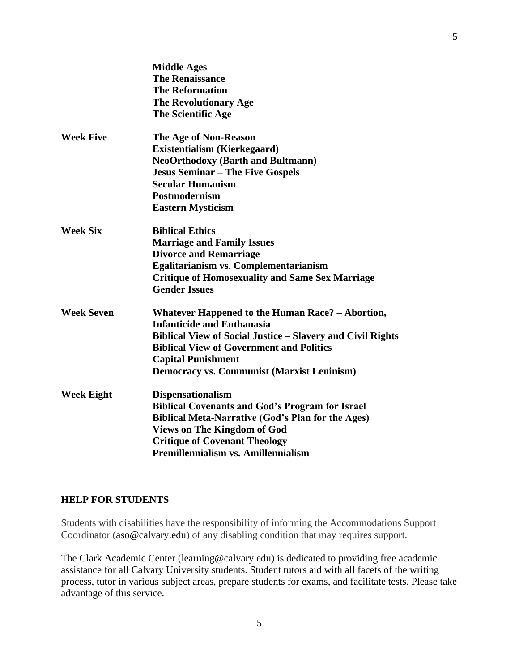|                   | <b>Middle Ages</b><br><b>The Renaissance</b><br><b>The Reformation</b><br><b>The Revolutionary Age</b><br>The Scientific Age                                                                                                                                                                    |
|-------------------|-------------------------------------------------------------------------------------------------------------------------------------------------------------------------------------------------------------------------------------------------------------------------------------------------|
| <b>Week Five</b>  | The Age of Non-Reason<br><b>Existentialism (Kierkegaard)</b><br><b>NeoOrthodoxy (Barth and Bultmann)</b><br><b>Jesus Seminar – The Five Gospels</b><br><b>Secular Humanism</b><br><b>Postmodernism</b><br><b>Eastern Mysticism</b>                                                              |
| <b>Week Six</b>   | <b>Biblical Ethics</b><br><b>Marriage and Family Issues</b><br><b>Divorce and Remarriage</b><br>Egalitarianism vs. Complementarianism<br><b>Critique of Homosexuality and Same Sex Marriage</b><br><b>Gender Issues</b>                                                                         |
| <b>Week Seven</b> | Whatever Happened to the Human Race? - Abortion,<br><b>Infanticide and Euthanasia</b><br><b>Biblical View of Social Justice - Slavery and Civil Rights</b><br><b>Biblical View of Government and Politics</b><br><b>Capital Punishment</b><br><b>Democracy vs. Communist (Marxist Leninism)</b> |
| <b>Week Eight</b> | <b>Dispensationalism</b><br><b>Biblical Covenants and God's Program for Israel</b><br><b>Biblical Meta-Narrative (God's Plan for the Ages)</b><br><b>Views on The Kingdom of God</b><br><b>Critique of Covenant Theology</b><br>Premillennialism vs. Amillennialism                             |

#### **HELP FOR STUDENTS**

Students with disabilities have the responsibility of informing the Accommodations Support Coordinator [\(aso@calvary.edu\)](mailto:aso@calvary.edu) of any disabling condition that may requires support.

The Clark Academic Center [\(learning@calvary.edu\)](mailto:learning@calvary.edu) is dedicated to providing free academic assistance for all Calvary University students. Student tutors aid with all facets of the writing process, tutor in various subject areas, prepare students for exams, and facilitate tests. Please take advantage of this service.